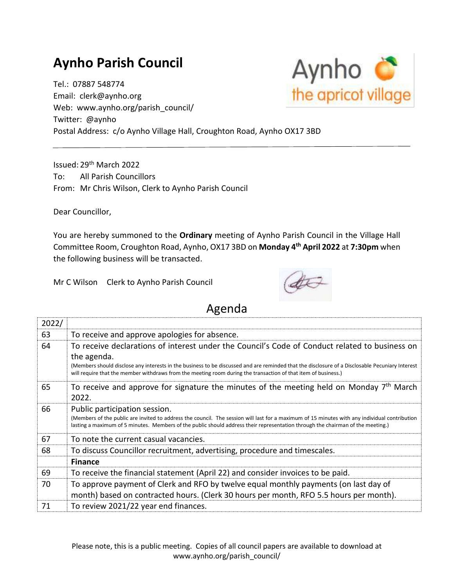## **Aynho Parish Council**

Tel.: 07887 548774 Email: clerk@aynho.org Web: www.aynho.org/parish\_council/ Twitter: @aynho Postal Address: c/o Aynho Village Hall, Croughton Road, Aynho OX17 3BD

Issued: 29th March 2022 To: All Parish Councillors From: Mr Chris Wilson, Clerk to Aynho Parish Council

Dear Councillor,

You are hereby summoned to the **Ordinary** meeting of Aynho Parish Council in the Village Hall Committee Room, Croughton Road, Aynho, OX17 3BD on **Monday 4 th April 2022** at **7:30pm** when the following business will be transacted.

Mr C Wilson Clerk to Aynho Parish Council



## Agenda

| 2022/ |                                                                                                                                                                                                                                                                                                                                                                                    |
|-------|------------------------------------------------------------------------------------------------------------------------------------------------------------------------------------------------------------------------------------------------------------------------------------------------------------------------------------------------------------------------------------|
| 63    | To receive and approve apologies for absence.                                                                                                                                                                                                                                                                                                                                      |
| 64    | To receive declarations of interest under the Council's Code of Conduct related to business on<br>the agenda.<br>(Members should disclose any interests in the business to be discussed and are reminded that the disclosure of a Disclosable Pecuniary Interest<br>will require that the member withdraws from the meeting room during the transaction of that item of business.) |
| 65    | To receive and approve for signature the minutes of the meeting held on Monday $7th$ March<br>2022.                                                                                                                                                                                                                                                                                |
| 66    | Public participation session.<br>(Members of the public are invited to address the council. The session will last for a maximum of 15 minutes with any individual contribution<br>lasting a maximum of 5 minutes. Members of the public should address their representation through the chairman of the meeting.)                                                                  |
| 67    | To note the current casual vacancies.                                                                                                                                                                                                                                                                                                                                              |
| 68    | To discuss Councillor recruitment, advertising, procedure and timescales.                                                                                                                                                                                                                                                                                                          |
|       | <b>Finance</b>                                                                                                                                                                                                                                                                                                                                                                     |
| 69    | To receive the financial statement (April 22) and consider invoices to be paid.                                                                                                                                                                                                                                                                                                    |
| 70    | To approve payment of Clerk and RFO by twelve equal monthly payments (on last day of<br>month) based on contracted hours. (Clerk 30 hours per month, RFO 5.5 hours per month).                                                                                                                                                                                                     |
| 71    | To review 2021/22 year end finances.                                                                                                                                                                                                                                                                                                                                               |

Please note, this is a public meeting. Copies of all council papers are available to download at www.aynho.org/parish\_council/